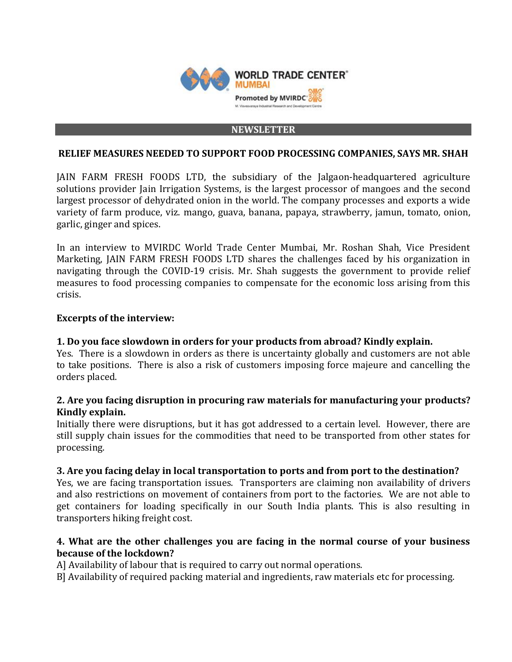

#### **NEWSLETTER**

### **RELIEF MEASURES NEEDED TO SUPPORT FOOD PROCESSING COMPANIES, SAYS MR. SHAH**

JAIN FARM FRESH FOODS LTD, the subsidiary of the Jalgaon-headquartered agriculture solutions provider Jain Irrigation Systems, is the largest processor of mangoes and the second largest processor of dehydrated onion in the world. The company processes and exports a wide variety of farm produce, viz. mango, guava, banana, papaya, strawberry, jamun, tomato, onion, garlic, ginger and spices.

In an interview to MVIRDC World Trade Center Mumbai, Mr. Roshan Shah, Vice President Marketing, JAIN FARM FRESH FOODS LTD shares the challenges faced by his organization in navigating through the COVID-19 crisis. Mr. Shah suggests the government to provide relief measures to food processing companies to compensate for the economic loss arising from this crisis.

### **Excerpts of the interview:**

### **1. Do you face slowdown in orders for your products from abroad? Kindly explain.**

Yes. There is a slowdown in orders as there is uncertainty globally and customers are not able to take positions. There is also a risk of customers imposing force majeure and cancelling the orders placed.

## **2. Are you facing disruption in procuring raw materials for manufacturing your products? Kindly explain.**

Initially there were disruptions, but it has got addressed to a certain level. However, there are still supply chain issues for the commodities that need to be transported from other states for processing.

#### **3. Are you facing delay in local transportation to ports and from port to the destination?**

Yes, we are facing transportation issues. Transporters are claiming non availability of drivers and also restrictions on movement of containers from port to the factories. We are not able to get containers for loading specifically in our South India plants. This is also resulting in transporters hiking freight cost.

## **4. What are the other challenges you are facing in the normal course of your business because of the lockdown?**

A] Availability of labour that is required to carry out normal operations.

B] Availability of required packing material and ingredients, raw materials etc for processing.